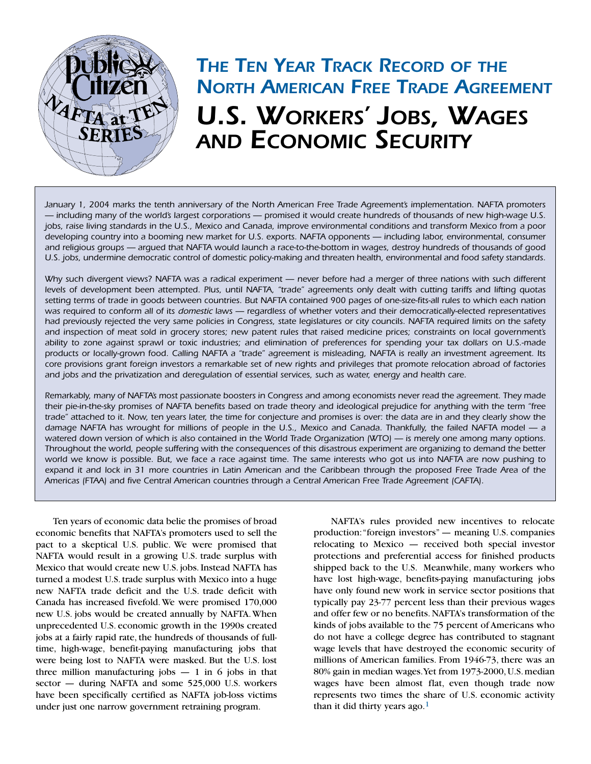

# *THE TEN YEAR TRACK RECORD OF THE NORTH AMERICAN FREE TRADE AGREEMENT U.S. WORKERS' JOBS, WAGES AND ECONOMIC SECURITY*

*January 1, 2004 marks the tenth anniversary of the North American Free Trade Agreement's implementation. NAFTA promoters — including many of the world's largest corporations — promised it would create hundreds of thousands of new high-wage U.S. jobs, raise living standards in the U.S., Mexico and Canada, improve environmental conditions and transform Mexico from a poor developing country into a booming new market for U.S. exports. NAFTA opponents — including labor, environmental, consumer and religious groups — argued that NAFTA would launch a race-to-the-bottom in wages, destroy hundreds of thousands of good U.S. jobs, undermine democratic control of domestic policy-making and threaten health, environmental and food safety standards.*

*Why such divergent views? NAFTA was a radical experiment — never before had a merger of three nations with such different levels of development been attempted. Plus, until NAFTA, "trade" agreements only dealt with cutting tariffs and lifting quotas setting terms of trade in goods between countries. But NAFTA contained 900 pages of one-size-fits-all rules to which each nation was required to conform all of its domestic laws — regardless of whether voters and their democratically-elected representatives had previously rejected the very same policies in Congress, state legislatures or city councils. NAFTA required limits on the safety and inspection of meat sold in grocery stores; new patent rules that raised medicine prices; constraints on local government's ability to zone against sprawl or toxic industries; and elimination of preferences for spending your tax dollars on U.S.-made products or locally-grown food. Calling NAFTA a "trade" agreement is misleading, NAFTA is really an investment agreement. Its core provisions grant foreign investors a remarkable set of new rights and privileges that promote relocation abroad of factories and jobs and the privatization and deregulation of essential services, such as water, energy and health care.*

*Remarkably, many of NAFTA's most passionate boosters in Congress and among economists never read the agreement. They made their pie-in-the-sky promises of NAFTA benefits based on trade theory and ideological prejudice for anything with the term "free trade" attached to it. Now, ten years later, the time for conjecture and promises is over: the data are in and they clearly show the damage NAFTA has wrought for millions of people in the U.S., Mexico and Canada. Thankfully, the failed NAFTA model — a watered down version of which is also contained in the World Trade Organization (WTO) — is merely one among many options. Throughout the world, people suffering with the consequences of this disastrous experiment are organizing to demand the better world we know is possible. But, we face a race against time. The same interests who got us into NAFTA are now pushing to expand it and lock in 31 more countries in Latin American and the Caribbean through the proposed Free Trade Area of the Americas (FTAA) and five Central American countries through a Central American Free Trade Agreement (CAFTA).* 

Ten years of economic data belie the promises of broad economic benefits that NAFTA's promoters used to sell the pact to a skeptical U.S. public. We were promised that NAFTA would result in a growing U.S. trade surplus with Mexico that would create new U.S. jobs. Instead NAFTA has turned a modest U.S. trade surplus with Mexico into a huge new NAFTA trade deficit and the U.S. trade deficit with Canada has increased fivefold. We were promised 170,000 new U.S. jobs would be created annually by NAFTA.When unprecedented U.S. economic growth in the 1990s created jobs at a fairly rapid rate, the hundreds of thousands of fulltime, high-wage, benefit-paying manufacturing jobs that were being lost to NAFTA were masked. But the U.S. lost three million manufacturing jobs  $-1$  in 6 jobs in that sector — during NAFTA and some 525,000 U.S. workers have been specifically certified as NAFTA job-loss victims under just one narrow government retraining program.

NAFTA's rules provided new incentives to relocate production:"foreign investors" — meaning U.S. companies relocating to Mexico — received both special investor protections and preferential access for finished products shipped back to the U.S. Meanwhile, many workers who have lost high-wage, benefits-paying manufacturing jobs have only found new work in service sector positions that typically pay 23-77 percent less than their previous wages and offer few or no benefits. NAFTA's transformation of the kinds of jobs available to the 75 percent of Americans who do not have a college degree has contributed to stagnant wage levels that have destroyed the economic security of millions of American families. From 1946-73, there was an 80% gain in median wages.Yet from 1973-2000,U.S.median wages have been almost flat, even though trade now represents two times the share of U.S. economic activity than it did thirty years ago. $1$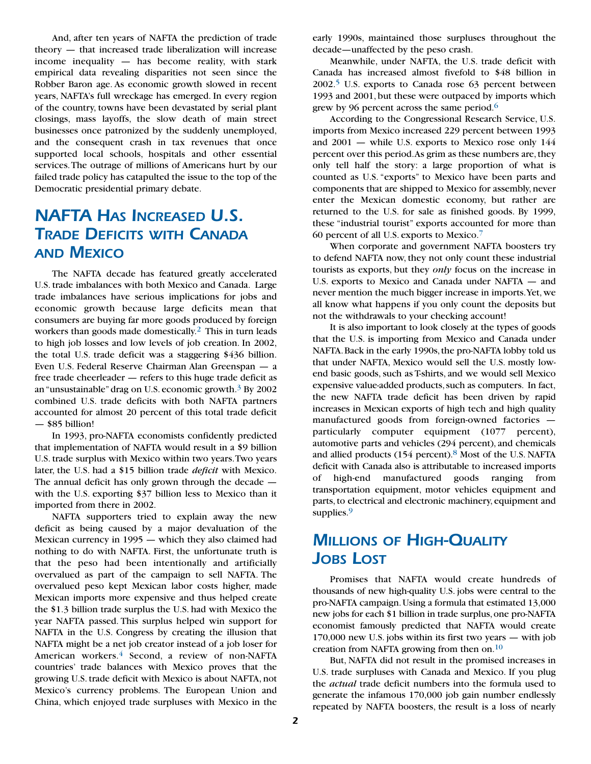And, after ten years of NAFTA the prediction of trade theory — that increased trade liberalization will increase income inequality — has become reality, with stark empirical data revealing disparities not seen since the Robber Baron age. As economic growth slowed in recent years, NAFTA's full wreckage has emerged. In every region of the country, towns have been devastated by serial plant closings, mass layoffs, the slow death of main street businesses once patronized by the suddenly unemployed, and the consequent crash in tax revenues that once supported local schools, hospitals and other essential services.The outrage of millions of Americans hurt by our failed trade policy has catapulted the issue to the top of the Democratic presidential primary debate.

# *NAFTA HAS INCREASED U.S. TRADE DEFICITS WITH CANADA AND MEXICO*

The NAFTA decade has featured greatly accelerated U.S. trade imbalances with both Mexico and Canada. Large trade imbalances have serious implications for jobs and economic growth because large deficits mean that consumers are buying far more goods produced by foreign workers than goods made domestically.<sup>2</sup> This in turn leads to high job losses and low levels of job creation. In 2002, the total U.S. trade deficit was a staggering \$436 billion. Even U.S. Federal Reserve Chairman Alan Greenspan — a free trade cheerleader — refers to this huge trade deficit as an "unsustainable"drag on U.S. economic growth.3 By 2002 combined U.S. trade deficits with both NAFTA partners accounted for almost 20 percent of this total trade deficit — \$85 billion!

In 1993, pro-NAFTA economists confidently predicted that implementation of NAFTA would result in a \$9 billion U.S. trade surplus with Mexico within two years.Two years later, the U.S. had a \$15 billion trade *deficit* with Mexico. The annual deficit has only grown through the decade with the U.S. exporting \$37 billion less to Mexico than it imported from there in 2002.

NAFTA supporters tried to explain away the new deficit as being caused by a major devaluation of the Mexican currency in 1995 — which they also claimed had nothing to do with NAFTA. First, the unfortunate truth is that the peso had been intentionally and artificially overvalued as part of the campaign to sell NAFTA. The overvalued peso kept Mexican labor costs higher, made Mexican imports more expensive and thus helped create the \$1.3 billion trade surplus the U.S. had with Mexico the year NAFTA passed. This surplus helped win support for NAFTA in the U.S. Congress by creating the illusion that NAFTA might be a net job creator instead of a job loser for American workers.<sup>4</sup> Second, a review of non-NAFTA countries' trade balances with Mexico proves that the growing U.S. trade deficit with Mexico is about NAFTA, not Mexico's currency problems. The European Union and China, which enjoyed trade surpluses with Mexico in the

early 1990s, maintained those surpluses throughout the decade—unaffected by the peso crash.

Meanwhile, under NAFTA, the U.S. trade deficit with Canada has increased almost fivefold to \$48 billion in 2002.5 U.S. exports to Canada rose 63 percent between 1993 and 2001, but these were outpaced by imports which grew by 96 percent across the same period.<sup>6</sup>

According to the Congressional Research Service, U.S. imports from Mexico increased 229 percent between 1993 and 2001 — while U.S. exports to Mexico rose only 144 percent over this period. As grim as these numbers are, they only tell half the story: a large proportion of what is counted as U.S. "exports" to Mexico have been parts and components that are shipped to Mexico for assembly, never enter the Mexican domestic economy, but rather are returned to the U.S. for sale as finished goods. By 1999, these "industrial tourist" exports accounted for more than 60 percent of all U.S. exports to Mexico.7

When corporate and government NAFTA boosters try to defend NAFTA now, they not only count these industrial tourists as exports, but they *only* focus on the increase in U.S. exports to Mexico and Canada under NAFTA — and never mention the much bigger increase in imports.Yet, we all know what happens if you only count the deposits but not the withdrawals to your checking account!

It is also important to look closely at the types of goods that the U.S. is importing from Mexico and Canada under NAFTA. Back in the early 1990s, the pro-NAFTA lobby told us that under NAFTA, Mexico would sell the U.S. mostly lowend basic goods, such as T-shirts, and we would sell Mexico expensive value-added products, such as computers. In fact, the new NAFTA trade deficit has been driven by rapid increases in Mexican exports of high tech and high quality manufactured goods from foreign-owned factories particularly computer equipment (1077 percent), automotive parts and vehicles (294 percent), and chemicals and allied products (154 percent).<sup>8</sup> Most of the U.S. NAFTA deficit with Canada also is attributable to increased imports of high-end manufactured goods ranging from transportation equipment, motor vehicles equipment and parts, to electrical and electronic machinery, equipment and supplies.<sup>9</sup>

# *MILLIONS OF HIGH-QUALITY JOBS LOST*

Promises that NAFTA would create hundreds of thousands of new high-quality U.S. jobs were central to the pro-NAFTA campaign.Using a formula that estimated 13,000 new jobs for each \$1 billion in trade surplus,one pro-NAFTA economist famously predicted that NAFTA would create 170,000 new U.S. jobs within its first two years — with job creation from NAFTA growing from then on. $10$ 

But, NAFTA did not result in the promised increases in U.S. trade surpluses with Canada and Mexico. If you plug the *actual* trade deficit numbers into the formula used to generate the infamous 170,000 job gain number endlessly repeated by NAFTA boosters, the result is a loss of nearly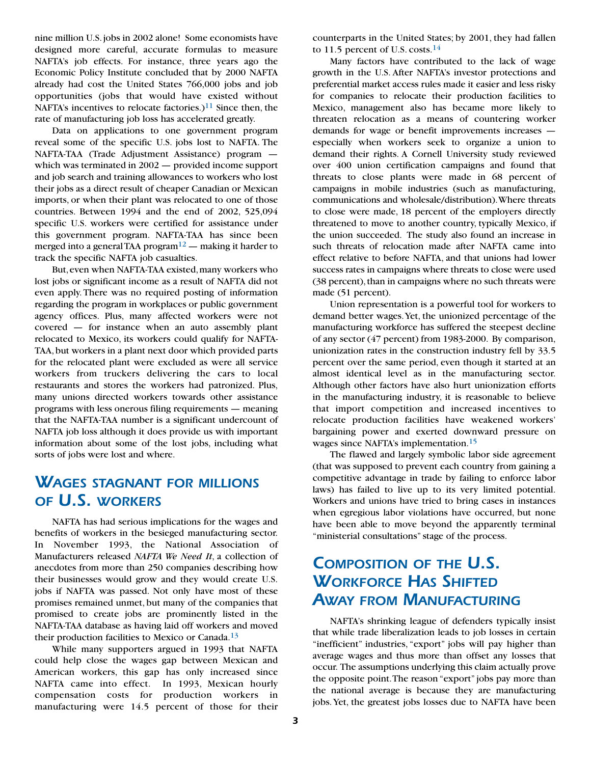nine million U.S.jobs in 2002 alone! Some economists have designed more careful, accurate formulas to measure NAFTA's job effects. For instance, three years ago the Economic Policy Institute concluded that by 2000 NAFTA already had cost the United States 766,000 jobs and job opportunities (jobs that would have existed without NAFTA's incentives to relocate factories.)<sup>11</sup> Since then, the rate of manufacturing job loss has accelerated greatly.

Data on applications to one government program reveal some of the specific U.S. jobs lost to NAFTA. The NAFTA-TAA (Trade Adjustment Assistance) program which was terminated in 2002 — provided income support and job search and training allowances to workers who lost their jobs as a direct result of cheaper Canadian or Mexican imports, or when their plant was relocated to one of those countries. Between 1994 and the end of 2002, 525,094 specific U.S. workers were certified for assistance under this government program. NAFTA-TAA has since been merged into a general TAA program<sup>12</sup> — making it harder to track the specific NAFTA job casualties.

But, even when NAFTA-TAA existed, many workers who lost jobs or significant income as a result of NAFTA did not even apply. There was no required posting of information regarding the program in workplaces or public government agency offices. Plus, many affected workers were not covered — for instance when an auto assembly plant relocated to Mexico, its workers could qualify for NAFTA-TAA,but workers in a plant next door which provided parts for the relocated plant were excluded as were all service workers from truckers delivering the cars to local restaurants and stores the workers had patronized. Plus, many unions directed workers towards other assistance programs with less onerous filing requirements — meaning that the NAFTA-TAA number is a significant undercount of NAFTA job loss although it does provide us with important information about some of the lost jobs, including what sorts of jobs were lost and where.

## *WAGES STAGNANT FOR MILLIONS OF U.S. WORKERS*

NAFTA has had serious implications for the wages and benefits of workers in the besieged manufacturing sector. In November 1993, the National Association of Manufacturers released *NAFTA We Need It*, a collection of anecdotes from more than 250 companies describing how their businesses would grow and they would create U.S. jobs if NAFTA was passed. Not only have most of these promises remained unmet, but many of the companies that promised to create jobs are prominently listed in the NAFTA-TAA database as having laid off workers and moved their production facilities to Mexico or Canada.13

While many supporters argued in 1993 that NAFTA could help close the wages gap between Mexican and American workers, this gap has only increased since NAFTA came into effect. In 1993, Mexican hourly compensation costs for production workers in manufacturing were 14.5 percent of those for their counterparts in the United States; by 2001, they had fallen to 11.5 percent of U.S. costs. $14$ 

Many factors have contributed to the lack of wage growth in the U.S. After NAFTA's investor protections and preferential market access rules made it easier and less risky for companies to relocate their production facilities to Mexico, management also has became more likely to threaten relocation as a means of countering worker demands for wage or benefit improvements increases especially when workers seek to organize a union to demand their rights. A Cornell University study reviewed over 400 union certification campaigns and found that threats to close plants were made in 68 percent of campaigns in mobile industries (such as manufacturing, communications and wholesale/distribution).Where threats to close were made, 18 percent of the employers directly threatened to move to another country, typically Mexico, if the union succeeded. The study also found an increase in such threats of relocation made after NAFTA came into effect relative to before NAFTA, and that unions had lower success rates in campaigns where threats to close were used (38 percent), than in campaigns where no such threats were made (51 percent).

Union representation is a powerful tool for workers to demand better wages.Yet, the unionized percentage of the manufacturing workforce has suffered the steepest decline of any sector (47 percent) from 1983-2000. By comparison, unionization rates in the construction industry fell by 33.5 percent over the same period, even though it started at an almost identical level as in the manufacturing sector. Although other factors have also hurt unionization efforts in the manufacturing industry, it is reasonable to believe that import competition and increased incentives to relocate production facilities have weakened workers' bargaining power and exerted downward pressure on wages since NAFTA's implementation.<sup>15</sup>

The flawed and largely symbolic labor side agreement (that was supposed to prevent each country from gaining a competitive advantage in trade by failing to enforce labor laws) has failed to live up to its very limited potential. Workers and unions have tried to bring cases in instances when egregious labor violations have occurred, but none have been able to move beyond the apparently terminal "ministerial consultations" stage of the process.

# *COMPOSITION OF THE U.S. WORKFORCE HAS SHIFTED AWAY FROM MANUFACTURING*

NAFTA's shrinking league of defenders typically insist that while trade liberalization leads to job losses in certain "inefficient" industries, "export" jobs will pay higher than average wages and thus more than offset any losses that occur. The assumptions underlying this claim actually prove the opposite point.The reason "export" jobs pay more than the national average is because they are manufacturing jobs.Yet, the greatest jobs losses due to NAFTA have been